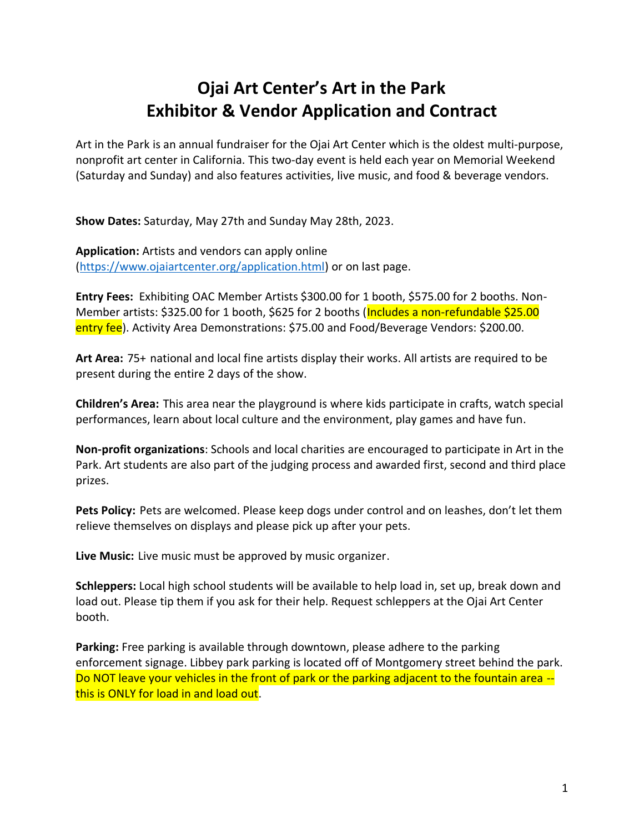## **Ojai Art Center's Art in the Park Exhibitor & Vendor Application and Contract**

Art in the Park is an annual fundraiser for the Ojai Art Center which is the oldest multi-purpose, nonprofit art center in California. This two-day event is held each year on Memorial Weekend (Saturday and Sunday) and also features activities, live music, and food & beverage vendors.

**Show Dates:** Saturday, May 27th and Sunday May 28th, 2023.

**Application:** Artists and vendors can apply online [\(https://www.ojaiartcenter.org/application.html\)](https://www.ojaiartcenter.org/application.html) or on last page.

**Entry Fees:** Exhibiting OAC Member Artists \$300.00 for 1 booth, \$575.00 for 2 booths. Non-Member artists: \$325.00 for 1 booth, \$625 for 2 booths (Includes a non-refundable \$25.00 entry fee). Activity Area Demonstrations: \$75.00 and Food/Beverage Vendors: \$200.00.

**Art Area:** 75+ national and local fine artists display their works. All artists are required to be present during the entire 2 days of the show.

**Children's Area:** This area near the playground is where kids participate in crafts, watch special performances, learn about local culture and the environment, play games and have fun.

**Non-profit organizations**: Schools and local charities are encouraged to participate in Art in the Park. Art students are also part of the judging process and awarded first, second and third place prizes.

**Pets Policy:** Pets are welcomed. Please keep dogs under control and on leashes, don't let them relieve themselves on displays and please pick up after your pets.

**Live Music:** Live music must be approved by music organizer.

**Schleppers:** Local high school students will be available to help load in, set up, break down and load out. Please tip them if you ask for their help. Request schleppers at the Ojai Art Center booth.

**Parking:** Free parking is available through downtown, please adhere to the parking enforcement signage. Libbey park parking is located off of Montgomery street behind the park. Do NOT leave your vehicles in the front of park or the parking adjacent to the fountain area - this is ONLY for load in and load out.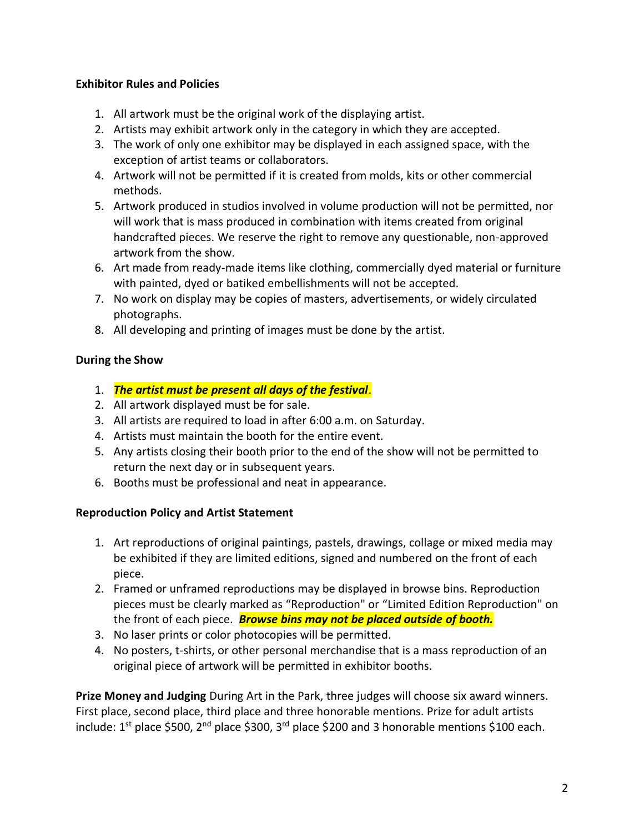## **Exhibitor Rules and Policies**

- 1. All artwork must be the original work of the displaying artist.
- 2. Artists may exhibit artwork only in the category in which they are accepted.
- 3. The work of only one exhibitor may be displayed in each assigned space, with the exception of artist teams or collaborators.
- 4. Artwork will not be permitted if it is created from molds, kits or other commercial methods.
- 5. Artwork produced in studios involved in volume production will not be permitted, nor will work that is mass produced in combination with items created from original handcrafted pieces. We reserve the right to remove any questionable, non-approved artwork from the show.
- 6. Art made from ready-made items like clothing, commercially dyed material or furniture with painted, dyed or batiked embellishments will not be accepted.
- 7. No work on display may be copies of masters, advertisements, or widely circulated photographs.
- 8. All developing and printing of images must be done by the artist.

## **During the Show**

- 1. *The artist must be present all days of the festival*.
- 2. All artwork displayed must be for sale.
- 3. All artists are required to load in after 6:00 a.m. on Saturday.
- 4. Artists must maintain the booth for the entire event.
- 5. Any artists closing their booth prior to the end of the show will not be permitted to return the next day or in subsequent years.
- 6. Booths must be professional and neat in appearance.

## **Reproduction Policy and Artist Statement**

- 1. Art reproductions of original paintings, pastels, drawings, collage or mixed media may be exhibited if they are limited editions, signed and numbered on the front of each piece.
- 2. Framed or unframed reproductions may be displayed in browse bins. Reproduction pieces must be clearly marked as "Reproduction" or "Limited Edition Reproduction" on the front of each piece. *Browse bins may not be placed outside of booth.*
- 3. No laser prints or color photocopies will be permitted.
- 4. No posters, t-shirts, or other personal merchandise that is a mass reproduction of an original piece of artwork will be permitted in exhibitor booths.

**Prize Money and Judging** During Art in the Park, three judges will choose six award winners. First place, second place, third place and three honorable mentions. Prize for adult artists include: 1<sup>st</sup> place \$500, 2<sup>nd</sup> place \$300, 3<sup>rd</sup> place \$200 and 3 honorable mentions \$100 each.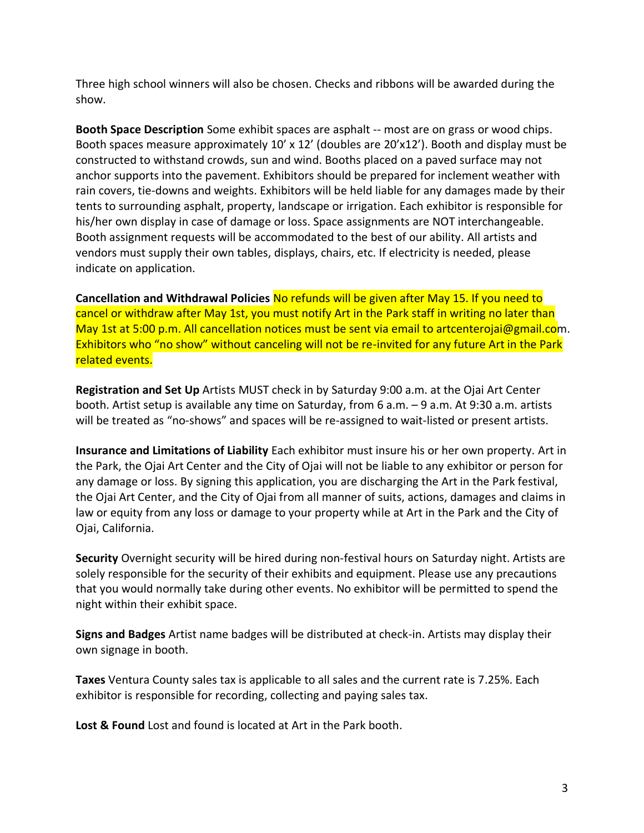Three high school winners will also be chosen. Checks and ribbons will be awarded during the show.

**Booth Space Description** Some exhibit spaces are asphalt -- most are on grass or wood chips. Booth spaces measure approximately 10' x 12' (doubles are 20'x12'). Booth and display must be constructed to withstand crowds, sun and wind. Booths placed on a paved surface may not anchor supports into the pavement. Exhibitors should be prepared for inclement weather with rain covers, tie-downs and weights. Exhibitors will be held liable for any damages made by their tents to surrounding asphalt, property, landscape or irrigation. Each exhibitor is responsible for his/her own display in case of damage or loss. Space assignments are NOT interchangeable. Booth assignment requests will be accommodated to the best of our ability. All artists and vendors must supply their own tables, displays, chairs, etc. If electricity is needed, please indicate on application.

**Cancellation and Withdrawal Policies** No refunds will be given after May 15. If you need to cancel or withdraw after May 1st, you must notify Art in the Park staff in writing no later than May 1st at 5:00 p.m. All cancellation notices must be sent via email to artcenterojai@gmail.com. Exhibitors who "no show" without canceling will not be re-invited for any future Art in the Park related events.

**Registration and Set Up** Artists MUST check in by Saturday 9:00 a.m. at the Ojai Art Center booth. Artist setup is available any time on Saturday, from 6 a.m. – 9 a.m. At 9:30 a.m. artists will be treated as "no-shows" and spaces will be re-assigned to wait-listed or present artists.

**Insurance and Limitations of Liability** Each exhibitor must insure his or her own property. Art in the Park, the Ojai Art Center and the City of Ojai will not be liable to any exhibitor or person for any damage or loss. By signing this application, you are discharging the Art in the Park festival, the Ojai Art Center, and the City of Ojai from all manner of suits, actions, damages and claims in law or equity from any loss or damage to your property while at Art in the Park and the City of Ojai, California.

**Security** Overnight security will be hired during non-festival hours on Saturday night. Artists are solely responsible for the security of their exhibits and equipment. Please use any precautions that you would normally take during other events. No exhibitor will be permitted to spend the night within their exhibit space.

**Signs and Badges** Artist name badges will be distributed at check-in. Artists may display their own signage in booth.

**Taxes** Ventura County sales tax is applicable to all sales and the current rate is 7.25%. Each exhibitor is responsible for recording, collecting and paying sales tax.

**Lost & Found** Lost and found is located at Art in the Park booth.